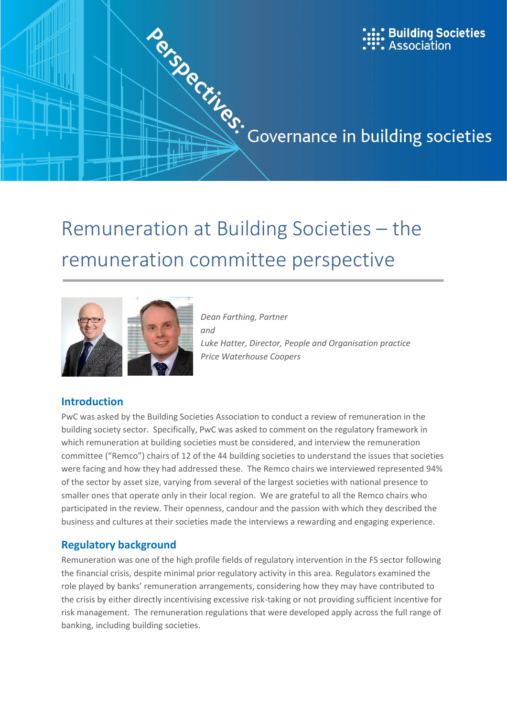

# remuneration committee perspective



*Dean Farthing, Partner and Luke Hatter, Director, People and Organisation practice Price Waterhouse Coopers*

# **Introduction**

PwC was asked by the Building Societies Association to conduct a review of remuneration in the building society sector. Specifically, PwC was asked to comment on the regulatory framework in which remuneration at building societies must be considered, and interview the remuneration committee ("Remco") chairs of 12 of the 44 building societies to understand the issues that societies were facing and how they had addressed these. The Remco chairs we interviewed represented 94% of the sector by asset size, varying from several of the largest societies with national presence to smaller ones that operate only in their local region. We are grateful to all the Remco chairs who participated in the review. Their openness, candour and the passion with which they described the business and cultures at their societies made the interviews a rewarding and engaging experience.

# **Regulatory background**

Remuneration was one of the high profile fields of regulatory intervention in the FS sector following the financial crisis, despite minimal prior regulatory activity in this area. Regulators examined the role played by banks' remuneration arrangements, considering how they may have contributed to the crisis by either directly incentivising excessive risk-taking or not providing sufficient incentive for risk management. The remuneration regulations that were developed apply across the full range of banking, including building societies.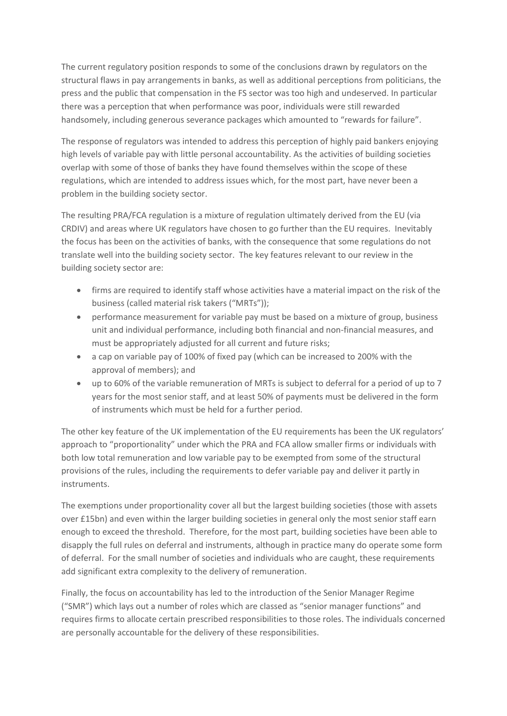The current regulatory position responds to some of the conclusions drawn by regulators on the structural flaws in pay arrangements in banks, as well as additional perceptions from politicians, the press and the public that compensation in the FS sector was too high and undeserved. In particular there was a perception that when performance was poor, individuals were still rewarded handsomely, including generous severance packages which amounted to "rewards for failure".

The response of regulators was intended to address this perception of highly paid bankers enjoying high levels of variable pay with little personal accountability. As the activities of building societies overlap with some of those of banks they have found themselves within the scope of these regulations, which are intended to address issues which, for the most part, have never been a problem in the building society sector.

The resulting PRA/FCA regulation is a mixture of regulation ultimately derived from the EU (via CRDIV) and areas where UK regulators have chosen to go further than the EU requires. Inevitably the focus has been on the activities of banks, with the consequence that some regulations do not translate well into the building society sector. The key features relevant to our review in the building society sector are:

- firms are required to identify staff whose activities have a material impact on the risk of the business (called material risk takers ("MRTs"));
- performance measurement for variable pay must be based on a mixture of group, business unit and individual performance, including both financial and non-financial measures, and must be appropriately adjusted for all current and future risks;
- a cap on variable pay of 100% of fixed pay (which can be increased to 200% with the approval of members); and
- up to 60% of the variable remuneration of MRTs is subject to deferral for a period of up to 7 years for the most senior staff, and at least 50% of payments must be delivered in the form of instruments which must be held for a further period.

The other key feature of the UK implementation of the EU requirements has been the UK regulators' approach to "proportionality" under which the PRA and FCA allow smaller firms or individuals with both low total remuneration and low variable pay to be exempted from some of the structural provisions of the rules, including the requirements to defer variable pay and deliver it partly in instruments.

The exemptions under proportionality cover all but the largest building societies (those with assets over £15bn) and even within the larger building societies in general only the most senior staff earn enough to exceed the threshold. Therefore, for the most part, building societies have been able to disapply the full rules on deferral and instruments, although in practice many do operate some form of deferral. For the small number of societies and individuals who are caught, these requirements add significant extra complexity to the delivery of remuneration.

Finally, the focus on accountability has led to the introduction of the Senior Manager Regime ("SMR") which lays out a number of roles which are classed as "senior manager functions" and requires firms to allocate certain prescribed responsibilities to those roles. The individuals concerned are personally accountable for the delivery of these responsibilities.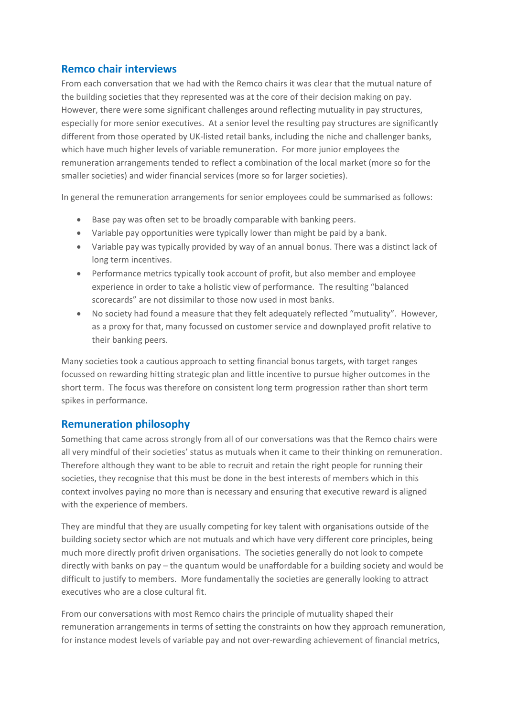# **Remco chair interviews**

From each conversation that we had with the Remco chairs it was clear that the mutual nature of the building societies that they represented was at the core of their decision making on pay. However, there were some significant challenges around reflecting mutuality in pay structures, especially for more senior executives. At a senior level the resulting pay structures are significantly different from those operated by UK-listed retail banks, including the niche and challenger banks, which have much higher levels of variable remuneration. For more junior employees the remuneration arrangements tended to reflect a combination of the local market (more so for the smaller societies) and wider financial services (more so for larger societies).

In general the remuneration arrangements for senior employees could be summarised as follows:

- Base pay was often set to be broadly comparable with banking peers.
- Variable pay opportunities were typically lower than might be paid by a bank.
- Variable pay was typically provided by way of an annual bonus. There was a distinct lack of long term incentives.
- Performance metrics typically took account of profit, but also member and employee experience in order to take a holistic view of performance. The resulting "balanced scorecards" are not dissimilar to those now used in most banks.
- No society had found a measure that they felt adequately reflected "mutuality". However, as a proxy for that, many focussed on customer service and downplayed profit relative to their banking peers.

Many societies took a cautious approach to setting financial bonus targets, with target ranges focussed on rewarding hitting strategic plan and little incentive to pursue higher outcomes in the short term. The focus was therefore on consistent long term progression rather than short term spikes in performance.

# **Remuneration philosophy**

Something that came across strongly from all of our conversations was that the Remco chairs were all very mindful of their societies' status as mutuals when it came to their thinking on remuneration. Therefore although they want to be able to recruit and retain the right people for running their societies, they recognise that this must be done in the best interests of members which in this context involves paying no more than is necessary and ensuring that executive reward is aligned with the experience of members.

They are mindful that they are usually competing for key talent with organisations outside of the building society sector which are not mutuals and which have very different core principles, being much more directly profit driven organisations. The societies generally do not look to compete directly with banks on pay – the quantum would be unaffordable for a building society and would be difficult to justify to members. More fundamentally the societies are generally looking to attract executives who are a close cultural fit.

From our conversations with most Remco chairs the principle of mutuality shaped their remuneration arrangements in terms of setting the constraints on how they approach remuneration, for instance modest levels of variable pay and not over-rewarding achievement of financial metrics,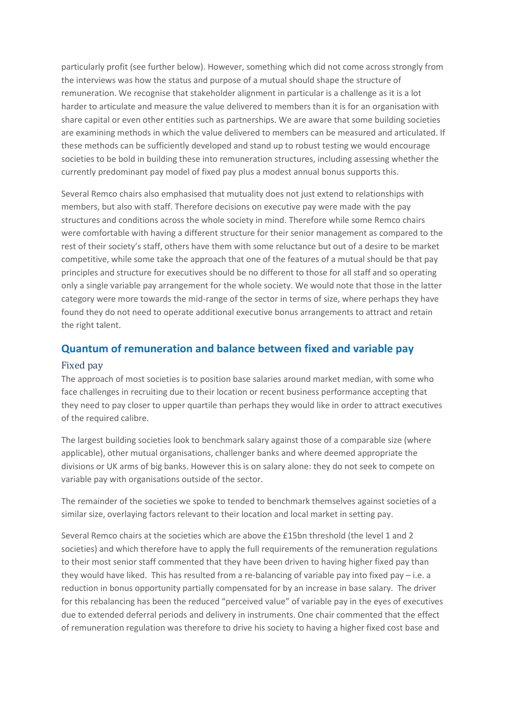particularly profit (see further below). However, something which did not come across strongly from the interviews was how the status and purpose of a mutual should shape the structure of remuneration. We recognise that stakeholder alignment in particular is a challenge as it is a lot harder to articulate and measure the value delivered to members than it is for an organisation with share capital or even other entities such as partnerships. We are aware that some building societies are examining methods in which the value delivered to members can be measured and articulated. If these methods can be sufficiently developed and stand up to robust testing we would encourage societies to be bold in building these into remuneration structures, including assessing whether the currently predominant pay model of fixed pay plus a modest annual bonus supports this.

Several Remco chairs also emphasised that mutuality does not just extend to relationships with members, but also with staff. Therefore decisions on executive pay were made with the pay structures and conditions across the whole society in mind. Therefore while some Remco chairs were comfortable with having a different structure for their senior management as compared to the rest of their society's staff, others have them with some reluctance but out of a desire to be market competitive, while some take the approach that one of the features of a mutual should be that pay principles and structure for executives should be no different to those for all staff and so operating only a single variable pay arrangement for the whole society. We would note that those in the latter category were more towards the mid-range of the sector in terms of size, where perhaps they have found they do not need to operate additional executive bonus arrangements to attract and retain the right talent.

# **Quantum of remuneration and balance between fixed and variable pay**

#### Fixed pay

The approach of most societies is to position base salaries around market median, with some who face challenges in recruiting due to their location or recent business performance accepting that they need to pay closer to upper quartile than perhaps they would like in order to attract executives of the required calibre.

The largest building societies look to benchmark salary against those of a comparable size (where applicable), other mutual organisations, challenger banks and where deemed appropriate the divisions or UK arms of big banks. However this is on salary alone: they do not seek to compete on variable pay with organisations outside of the sector.

The remainder of the societies we spoke to tended to benchmark themselves against societies of a similar size, overlaying factors relevant to their location and local market in setting pay.

Several Remco chairs at the societies which are above the £15bn threshold (the level 1 and 2 societies) and which therefore have to apply the full requirements of the remuneration regulations to their most senior staff commented that they have been driven to having higher fixed pay than they would have liked. This has resulted from a re-balancing of variable pay into fixed pay – i.e. a reduction in bonus opportunity partially compensated for by an increase in base salary. The driver for this rebalancing has been the reduced "perceived value" of variable pay in the eyes of executives due to extended deferral periods and delivery in instruments. One chair commented that the effect of remuneration regulation was therefore to drive his society to having a higher fixed cost base and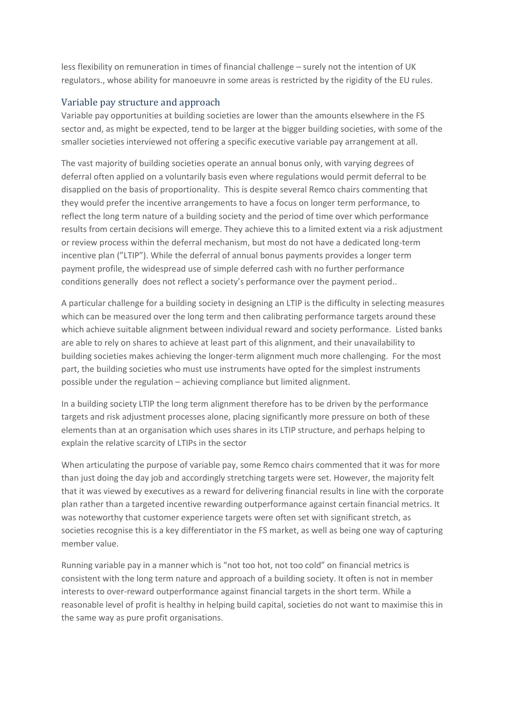less flexibility on remuneration in times of financial challenge – surely not the intention of UK regulators., whose ability for manoeuvre in some areas is restricted by the rigidity of the EU rules.

#### Variable pay structure and approach

Variable pay opportunities at building societies are lower than the amounts elsewhere in the FS sector and, as might be expected, tend to be larger at the bigger building societies, with some of the smaller societies interviewed not offering a specific executive variable pay arrangement at all.

The vast majority of building societies operate an annual bonus only, with varying degrees of deferral often applied on a voluntarily basis even where regulations would permit deferral to be disapplied on the basis of proportionality. This is despite several Remco chairs commenting that they would prefer the incentive arrangements to have a focus on longer term performance, to reflect the long term nature of a building society and the period of time over which performance results from certain decisions will emerge. They achieve this to a limited extent via a risk adjustment or review process within the deferral mechanism, but most do not have a dedicated long-term incentive plan ("LTIP"). While the deferral of annual bonus payments provides a longer term payment profile, the widespread use of simple deferred cash with no further performance conditions generally does not reflect a society's performance over the payment period..

A particular challenge for a building society in designing an LTIP is the difficulty in selecting measures which can be measured over the long term and then calibrating performance targets around these which achieve suitable alignment between individual reward and society performance. Listed banks are able to rely on shares to achieve at least part of this alignment, and their unavailability to building societies makes achieving the longer-term alignment much more challenging. For the most part, the building societies who must use instruments have opted for the simplest instruments possible under the regulation – achieving compliance but limited alignment.

In a building society LTIP the long term alignment therefore has to be driven by the performance targets and risk adjustment processes alone, placing significantly more pressure on both of these elements than at an organisation which uses shares in its LTIP structure, and perhaps helping to explain the relative scarcity of LTIPs in the sector

When articulating the purpose of variable pay, some Remco chairs commented that it was for more than just doing the day job and accordingly stretching targets were set. However, the majority felt that it was viewed by executives as a reward for delivering financial results in line with the corporate plan rather than a targeted incentive rewarding outperformance against certain financial metrics. It was noteworthy that customer experience targets were often set with significant stretch, as societies recognise this is a key differentiator in the FS market, as well as being one way of capturing member value.

Running variable pay in a manner which is "not too hot, not too cold" on financial metrics is consistent with the long term nature and approach of a building society. It often is not in member interests to over-reward outperformance against financial targets in the short term. While a reasonable level of profit is healthy in helping build capital, societies do not want to maximise this in the same way as pure profit organisations.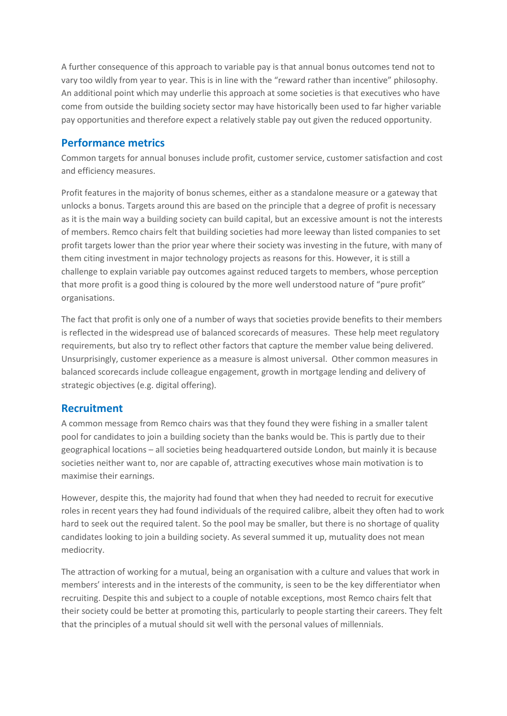A further consequence of this approach to variable pay is that annual bonus outcomes tend not to vary too wildly from year to year. This is in line with the "reward rather than incentive" philosophy. An additional point which may underlie this approach at some societies is that executives who have come from outside the building society sector may have historically been used to far higher variable pay opportunities and therefore expect a relatively stable pay out given the reduced opportunity.

# **Performance metrics**

Common targets for annual bonuses include profit, customer service, customer satisfaction and cost and efficiency measures.

Profit features in the majority of bonus schemes, either as a standalone measure or a gateway that unlocks a bonus. Targets around this are based on the principle that a degree of profit is necessary as it is the main way a building society can build capital, but an excessive amount is not the interests of members. Remco chairs felt that building societies had more leeway than listed companies to set profit targets lower than the prior year where their society was investing in the future, with many of them citing investment in major technology projects as reasons for this. However, it is still a challenge to explain variable pay outcomes against reduced targets to members, whose perception that more profit is a good thing is coloured by the more well understood nature of "pure profit" organisations.

The fact that profit is only one of a number of ways that societies provide benefits to their members is reflected in the widespread use of balanced scorecards of measures. These help meet regulatory requirements, but also try to reflect other factors that capture the member value being delivered. Unsurprisingly, customer experience as a measure is almost universal. Other common measures in balanced scorecards include colleague engagement, growth in mortgage lending and delivery of strategic objectives (e.g. digital offering).

## **Recruitment**

A common message from Remco chairs was that they found they were fishing in a smaller talent pool for candidates to join a building society than the banks would be. This is partly due to their geographical locations – all societies being headquartered outside London, but mainly it is because societies neither want to, nor are capable of, attracting executives whose main motivation is to maximise their earnings.

However, despite this, the majority had found that when they had needed to recruit for executive roles in recent years they had found individuals of the required calibre, albeit they often had to work hard to seek out the required talent. So the pool may be smaller, but there is no shortage of quality candidates looking to join a building society. As several summed it up, mutuality does not mean mediocrity.

The attraction of working for a mutual, being an organisation with a culture and values that work in members' interests and in the interests of the community, is seen to be the key differentiator when recruiting. Despite this and subject to a couple of notable exceptions, most Remco chairs felt that their society could be better at promoting this, particularly to people starting their careers. They felt that the principles of a mutual should sit well with the personal values of millennials.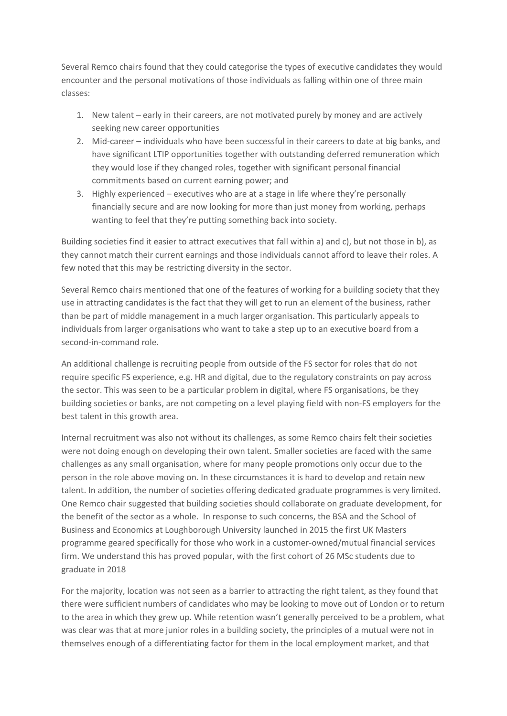Several Remco chairs found that they could categorise the types of executive candidates they would encounter and the personal motivations of those individuals as falling within one of three main classes:

- 1. New talent early in their careers, are not motivated purely by money and are actively seeking new career opportunities
- 2. Mid-career individuals who have been successful in their careers to date at big banks, and have significant LTIP opportunities together with outstanding deferred remuneration which they would lose if they changed roles, together with significant personal financial commitments based on current earning power; and
- 3. Highly experienced executives who are at a stage in life where they're personally financially secure and are now looking for more than just money from working, perhaps wanting to feel that they're putting something back into society.

Building societies find it easier to attract executives that fall within a) and c), but not those in b), as they cannot match their current earnings and those individuals cannot afford to leave their roles. A few noted that this may be restricting diversity in the sector.

Several Remco chairs mentioned that one of the features of working for a building society that they use in attracting candidates is the fact that they will get to run an element of the business, rather than be part of middle management in a much larger organisation. This particularly appeals to individuals from larger organisations who want to take a step up to an executive board from a second-in-command role.

An additional challenge is recruiting people from outside of the FS sector for roles that do not require specific FS experience, e.g. HR and digital, due to the regulatory constraints on pay across the sector. This was seen to be a particular problem in digital, where FS organisations, be they building societies or banks, are not competing on a level playing field with non-FS employers for the best talent in this growth area.

Internal recruitment was also not without its challenges, as some Remco chairs felt their societies were not doing enough on developing their own talent. Smaller societies are faced with the same challenges as any small organisation, where for many people promotions only occur due to the person in the role above moving on. In these circumstances it is hard to develop and retain new talent. In addition, the number of societies offering dedicated graduate programmes is very limited. One Remco chair suggested that building societies should collaborate on graduate development, for the benefit of the sector as a whole. In response to such concerns, the BSA and the School of Business and Economics at Loughborough University launched in 2015 the first UK Masters programme geared specifically for those who work in a customer-owned/mutual financial services firm. We understand this has proved popular, with the first cohort of 26 MSc students due to graduate in 2018

For the majority, location was not seen as a barrier to attracting the right talent, as they found that there were sufficient numbers of candidates who may be looking to move out of London or to return to the area in which they grew up. While retention wasn't generally perceived to be a problem, what was clear was that at more junior roles in a building society, the principles of a mutual were not in themselves enough of a differentiating factor for them in the local employment market, and that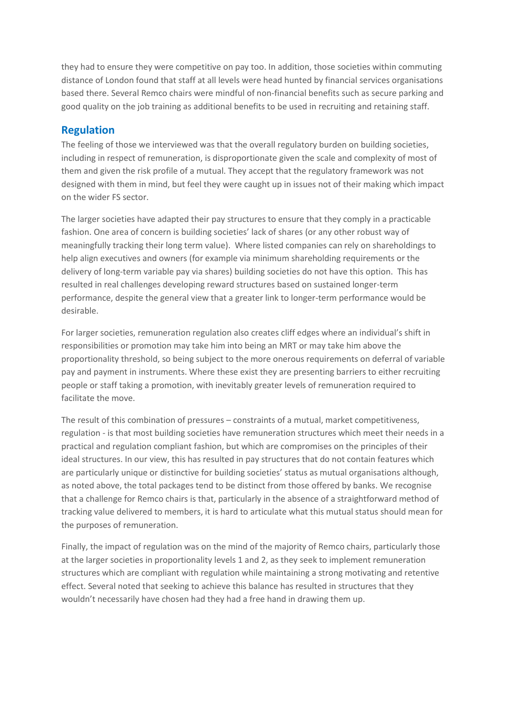they had to ensure they were competitive on pay too. In addition, those societies within commuting distance of London found that staff at all levels were head hunted by financial services organisations based there. Several Remco chairs were mindful of non-financial benefits such as secure parking and good quality on the job training as additional benefits to be used in recruiting and retaining staff.

## **Regulation**

The feeling of those we interviewed was that the overall regulatory burden on building societies, including in respect of remuneration, is disproportionate given the scale and complexity of most of them and given the risk profile of a mutual. They accept that the regulatory framework was not designed with them in mind, but feel they were caught up in issues not of their making which impact on the wider FS sector.

The larger societies have adapted their pay structures to ensure that they comply in a practicable fashion. One area of concern is building societies' lack of shares (or any other robust way of meaningfully tracking their long term value). Where listed companies can rely on shareholdings to help align executives and owners (for example via minimum shareholding requirements or the delivery of long-term variable pay via shares) building societies do not have this option. This has resulted in real challenges developing reward structures based on sustained longer-term performance, despite the general view that a greater link to longer-term performance would be desirable.

For larger societies, remuneration regulation also creates cliff edges where an individual's shift in responsibilities or promotion may take him into being an MRT or may take him above the proportionality threshold, so being subject to the more onerous requirements on deferral of variable pay and payment in instruments. Where these exist they are presenting barriers to either recruiting people or staff taking a promotion, with inevitably greater levels of remuneration required to facilitate the move.

The result of this combination of pressures – constraints of a mutual, market competitiveness, regulation - is that most building societies have remuneration structures which meet their needs in a practical and regulation compliant fashion, but which are compromises on the principles of their ideal structures. In our view, this has resulted in pay structures that do not contain features which are particularly unique or distinctive for building societies' status as mutual organisations although, as noted above, the total packages tend to be distinct from those offered by banks. We recognise that a challenge for Remco chairs is that, particularly in the absence of a straightforward method of tracking value delivered to members, it is hard to articulate what this mutual status should mean for the purposes of remuneration.

Finally, the impact of regulation was on the mind of the majority of Remco chairs, particularly those at the larger societies in proportionality levels 1 and 2, as they seek to implement remuneration structures which are compliant with regulation while maintaining a strong motivating and retentive effect. Several noted that seeking to achieve this balance has resulted in structures that they wouldn't necessarily have chosen had they had a free hand in drawing them up.